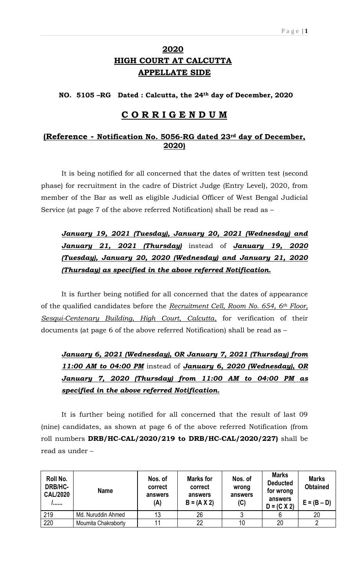## **2020 HIGH COURT AT CALCUTTA APPELLATE SIDE**

**NO. 5105 –RG Dated : Calcutta, the 24th day of December, 2020**

## **C O R R I G E N D U M**

## **(Reference - Notification No. 5056-RG dated 23rd day of December, 2020)**

It is being notified for all concerned that the dates of written test (second phase) for recruitment in the cadre of District Judge (Entry Level), 2020, from member of the Bar as well as eligible Judicial Officer of West Bengal Judicial Service (at page 7 of the above referred Notification) shall be read as –

*January 19, 2021 (Tuesday), January 20, 2021 (Wednesday) and January 21, 2021 (Thursday)* instead of *January 19, 2020 (Tuesday), January 20, 2020 (Wednesday) and January 21, 2020 (Thursday) as specified in the above referred Notification.*

It is further being notified for all concerned that the dates of appearance of the qualified candidates before the *Recruitment Cell, Room No. 654, 6th Floor, Sesqui-Centenary Building, High Court, Calcutta*, for verification of their documents (at page 6 of the above referred Notification) shall be read as –

*January 6, 2021 (Wednesday), OR January 7, 2021 (Thursday) from 11:00 AM to 04:00 PM* instead of *January 6, 2020 (Wednesday), OR January 7, 2020 (Thursday) from 11:00 AM to 04:00 PM as specified in the above referred Notification.*

It is further being notified for all concerned that the result of last 09 (nine) candidates, as shown at page 6 of the above referred Notification (from roll numbers **DRB/HC-CAL/2020/219 to DRB/HC-CAL/2020/227)** shall be read as under –

| Roll No.<br>DRB/HC-<br><b>CAL/2020</b><br>, , , , , , , | <b>Name</b>         | Nos. of<br>correct<br>answers<br>(A) | <b>Marks for</b><br>correct<br>answers<br>$B = (A X 2)$ | Nos. of<br>wrong<br>answers<br>(C) | <b>Marks</b><br><b>Deducted</b><br>for wrong<br>answers<br>$D = (C X 2)$ | <b>Marks</b><br><b>Obtained</b><br>$E = (B - D)$ |
|---------------------------------------------------------|---------------------|--------------------------------------|---------------------------------------------------------|------------------------------------|--------------------------------------------------------------------------|--------------------------------------------------|
| 219                                                     | Md. Nuruddin Ahmed  | 13                                   | 26                                                      |                                    |                                                                          | 20                                               |
| 220                                                     | Moumita Chakraborty |                                      | 22                                                      | 10                                 | 20                                                                       |                                                  |